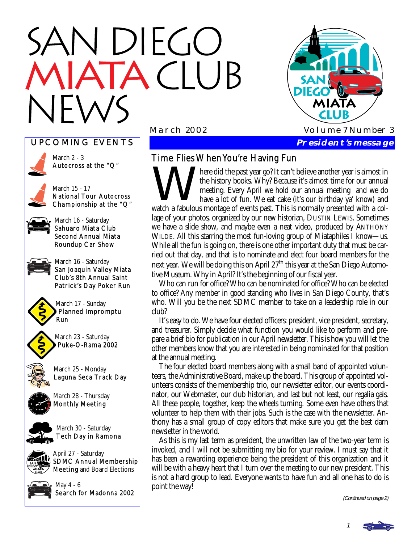# N DIEGO **TACLUB**



#### UPCOMING EVENTS



March 2 - 3 Autocross at the "Q"



March 15 - 17 National Tour Autocross Championship at the "Q"

March 16 - Saturday Sahuaro Miata Club Second Annual Miata Roundup Car Show



March 16 - Saturday San Joaquin Valley Miata Club's 8th Annual Saint Patrick's Day Poker Run



March 17 - Sunday Planned Impromptu Run



March 23 - Saturday Puke-O-Rama 2002



March 25 - Monday Laguna Seca Track Day



March 28 - Thursday Monthly Meeting



March 30 - Saturday Tech Day in Ramona

April 27 - Saturday SDMC Annual Membership Meeting and Board Elections



May 4 - 6 Search for Madonna 2002

## Time Flies When You're Having Fun

Time Flies When You're Having Fun<br>
the past year go? It can't believe another year is almost in<br>
the history books. Why? Because it's almost time for our annual<br>
meeting. Every April we hold our annual meeting and we do<br>
h the history books. Why? Because it's almost time for our annual meeting. Every April we hold our annual meeting and we do have a lot of fun. We eat cake (it's our birthday ya' know) and watch a fabulous montage of events past. This is normally presented with a collage of your photos, organized by our new historian, DUSTIN LEWIS. Sometimes we have a slide show, and maybe even a neat video, produced by ANTHONY WILDE. All this starring the most fun-loving group of Miataphiles I know—us. While all the fun is going on, there is one other important duty that must be carried out that day, and that is to nominate and elect four board members for the next year. We will be doing this on April  $27<sup>th</sup>$  this year at the San Diego Automotive Museum. Why in April? It's the beginning of our fiscal year.

 Who can run for office? Who can be nominated for office? Who can be elected to office? Any member in good standing who lives in San Diego County, that's who. Will you be the next SDMC member to take on a leadership role in our club?

 It's easy to do. We have four elected officers: president, vice president, secretary, and treasurer. Simply decide what function you would like to perform and prepare a brief bio for publication in our April newsletter. This is how you will let the other members know that you are interested in being nominated for that position at the annual meeting.

 The four elected board members along with a small band of appointed volunteers, the Administrative Board, make up the board. This group of appointed volunteers consists of the membership trio, our newsletter editor, our events coordinator, our Webmaster, our club historian, and last but not least, our regalia gals. All these people, together, keep the wheels turning. Some even have others that volunteer to help them with their jobs. Such is the case with the newsletter. Anthony has a small group of copy editors that make sure you get the best darn newsletter in the world.

 As this is my last term as president, the unwritten law of the two-year term is invoked, and I will not be submitting my bio for your review. I must say that it has been a rewarding experience being the president of this organization and it will be with a heavy heart that I turn over the meeting to our new president. This is not a hard group to lead. Everyone wants to have fun and all one has to do is point the way!

(Continued on page 2)

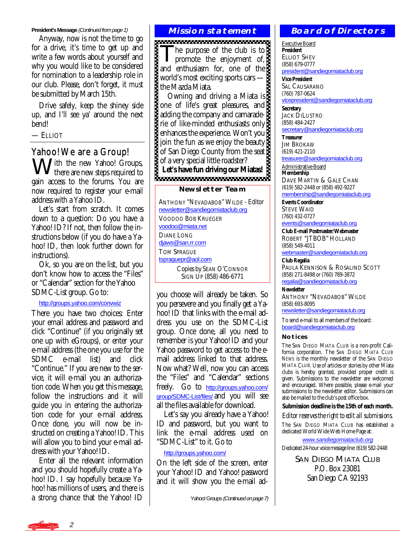#### **President's Message** (Continued from page 1)

 Anyway, now is not the time to go for a drive, it's time to get up and write a few words about yourself and why you would like to be considered for nomination to a leadership role in our club. Please, don't forget, it *must* be submitted by March 15th.

 Drive safely, keep the shiney side up, and I'll see ya' around the next bend!

— ELLIOT

### Yahoo! We are a Group!

Mith the new Yahoo! Groups, there are new steps required to gain access to the forums. You are now required to register your e-mail address with a Yahoo ID.

 Let's start from scratch. It comes down to a question: Do you have a Yahoo! ID? If not, then follow the instructions below (if you do have a Yahoo! ID, then look further down for instructions).

 Ok, so you are on the list, but you don't know how to access the "Files" or "Calendar" section for the Yahoo SDMC-List group. Go to:

#### <http://groups.yahoo.com/convwiz>

There you have two choices: Enter your email address and password and click "Continue" (if you originally set one up with eGroups), or enter your e-mail address (the one you use for the SDMC e-mail list) and click "Continue." If you are new to the service, it will e-mail you an authorization code. When you get this message, follow the instructions and it will guide you in entering the authorization code for your e-mail address. Once done, you will now be instructed on creating a Yahoo! ID. This will allow you to bind your e-mail address with your Yahoo! ID.

 Enter all the relevant information and you should hopefully create a Yahoo! ID. I say hopefully because Yahoo! has millions of users, and there is a strong chance that the Yahoo! ID

#### **Mission statement**

The purpose of the club is to<br>promote the enjoyment of, and enthusiasm for, one of the world's most exciting sports cars the Mazda Miata.

 Owning and driving a Miata is one of life's great pleasures, and adding the company and camaraderie of like-minded enthusiasts only enhances the experience. Won't you join the fun as we enjoy the beauty of San Diego County from the seat of a very special little roadster? **Let's have fun driving our Miatas!** 

#### **Newsletter Team**

ANTHONY "NEVADABOB" WILDE - Editor [newsletter@sandiegomiataclub.org](mailto:newsletter@sandiegomiataclub.org) VOODOO BOB KRUEGER [voodoo@miata.net](mailto:voodoo@miata.net) DIANE LONG [djaws@san.rr.com](mailto:djaws@san.rr.com) TOM SPRAGUE [tspraguepr@aol.com](mailto:tspraguepr@aol.com) Copies by SEAN O'CONNOR SIGN UP (858) 486-6771

you choose will already be taken. So you persevere and you finally get a Yahoo! ID that links with the e-mail address you use on the SDMC-List group. Once done, all you need to remember is your Yahoo! ID and your Yahoo password to get access to the email address linked to that address. Now what? Well, now you can access the "Files" and "Calendar" sections freely. Go to [http://groups.yahoo.com/](http://groups.yahoo.com/group/SDMC-List/files/) [group/SDMC-List/files/](http://groups.yahoo.com/group/SDMC-List/files/) and you will see all the files available for download.

 Let's say you already have a Yahoo! ID and password, but you want to link the e-mail address used on "SDMC-List" to it. Go to

#### [http://groups.yahoo.com/](http://groups.yahoo.com)

On the left side of the screen, enter your Yahoo! ID and Yahoo! password and it will show you the e-mail ad-

Yahoo! Groups (Continued on page 7)

#### **Board of Directors**

Executive Board **President**  ELLIOT SHEV (858) 679-0777 [president@sandiegomiataclub.org](mailto:president@sandiegomiataclub.org) **Vice President** 

SAL CAUSARANO (760) 787-0624 [vicepresident@sandiegomiataclub.org](mailto:vicepresident@sandiegomiataclub.org)

**Secretary**  JACK DILUSTRO (858) 484-2427 [secretary@sandiegomiataclub.org](mailto:secretary@sandiegomiataclub.org)

**Treasurer JIM BROKAW** (619) 421-2110

[treasurer@sandiegomiataclub.org](mailto:treasurer@sandiegomiataclub.org) Administrative Board

**Membership**  DAVE MARTIN & GALE CHAN (619) 582-2448 or (858) 492-9227 [membership@sandiegomiataclub.org](mailto:membership@sandiegomiataclub.org)

**Events Coordinator**  STEVE WAID (760) 432-0727

[events@sandiegomiataclub.org](mailto:events@sandiegomiataclub.org) **Club E-mail Postmaster/Webmaster** 

ROBERT "JTBOB" HOLLAND (858) 549-4011 [webmaster@sandiegomiataclub.org](mailto:webmaster@sandiegomiataclub.org)

**Club Regalia**  PAULA KENNISON & ROSALIND SCOTT

(858) 271-8498 or (760) 789-3872 [regalia@sandiegomiataclub.org](mailto:regalia@sandiegomiataclub.org)

**Newsletter**  ANTHONY "NEVADABOB" WILDE (858) 693-8095

[newsletter@sandiegomiataclub.org](mailto:newsletter@sandiegomiataclub.org)

To send e-mail to all members of the board: [board@sandiegomiataclub.org](mailto:board@sandiegomiataclub.org)

#### **Notices**

The SAN DIEGO MIATA CLUB is a non-profit California corporation. The *SAN DIEGO MIATA CLUB NEWS* is the monthly newsletter of the SAN DIEGO MIATA CLUB. Use of articles or stories by other Miata clubs is hereby granted, provided proper credit is given. Submissions to the newsletter are welcomed and encouraged. Where possible, please e-mail your submissions to the newsletter editor. Submissions can also be mailed to the club's post office box.

**Submission deadline is the 15th of each month.** 

#### *Editor reserves the right to edit all submissions.*

The SAN DIEGO MIATA CLUB has established a dedicated World Wide Web Home Page at:

[www.sandiegomiataclub.org](http://www.sandiegomiataclub.org)

Dedicated 24-hour voice message line: (619) 582-2448

SAN DIEGO MIATA CLUB P.O. Box 23081 San Diego CA 92193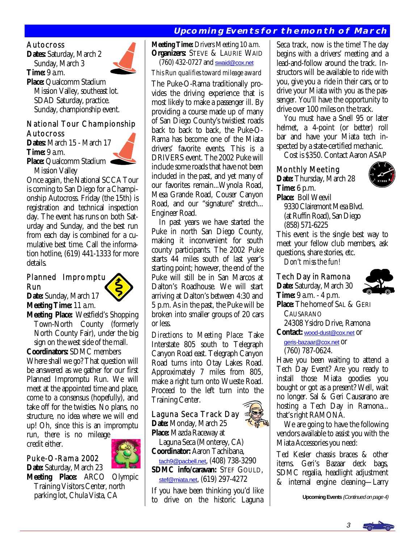## **Upcoming Events for the month of March**

#### Autocross

**Dates:** Saturday, March 2 Sunday, March 3 **Time:** 9 a.m.



**Place:** Qualcomm Stadium Mission Valley, southeast lot. SDAD Saturday, practice. Sunday, championship event.

## National Tour Championship Autocross

**Dates:** March 15 - March 17 **Time:** 9 a.m.

**Place:** Qualcomm Stadium Mission Valley

Once again, the National SCCA Tour is coming to San Diego for a Championship Autocross. Friday (the 15th) is registration and technical inspection day. The event has runs on both Saturday and Sunday, and the best run from each day is combined for a cumulative best time. Call the information hotline, (619) 441-1333 for more details.

#### Planned Impromptu Run



**Date:** Sunday, March 17 **Meeting Time:** 11 a.m.

**Meeting Place:** Westfield's Shopping Town-North County (formerly North County Fair), under the big sign on the west side of the mall.

**Coordinators:** SDMC members Where shall we go? That question will be answered as we gather for our first Planned Impromptu Run. We will meet at the appointed time and place, come to a consensus (hopefully), and take off for the twisties. No plans, no structure, no idea where we will end up! Oh, since this is an impromptu

run, there is no mileage credit either. Ì



## Puke-O-Rama 2002

**Date:** Saturday, March 23

**Meeting Place:** ARCO Olympic Training Visitors Center, north parking lot, Chula Vista, CA

**Meeting Time:** Drivers Meeting 10 a.m. **Organizers:** STEVE & LAURIE WAID (760) 432-0727 and [swaid@cox.net](mailto:swaid@cox.net)

#### *This Run qualifies toward mileage award*

The Puke-O-Rama traditionally provides the driving experience that is most likely to make a passenger ill. By providing a course made up of many of San Diego County's twistiest roads back to back to back, the Puke-O-Rama has become one of the Miata drivers' favorite events. This is a DRIVERS event. The 2002 Puke will include some roads that have not been included in the past, and yet many of our favorites remain...Wynola Road, Mesa Grande Road, Couser Canyon Road, and our "signature" stretch... Engineer Road.

 In past years we have started the Puke in north San Diego County, making it inconvenient for south county participants. The 2002 Puke starts 44 miles south of last year's starting point; however, the end of the Puke will still be in San Marcos at Dalton's Roadhouse. We will start arriving at Dalton's between 4:30 and 5 p.m. As in the past, the Puke will be broken into smaller groups of 20 cars or less.

*Directions to Meeting Place:* Take Interstate 805 south to Telegraph Canyon Road east. Telegraph Canyon Road turns into Otay Lakes Road. Approximately 7 miles from 805, make a right turn onto Wueste Road. Proceed to the left turn into the Training Center. Ĩ

## Laguna Seca Track Day **Date:** Monday, March 25



 Laguna Seca (Monterey, CA) **Coordinator:** Aaron Tachibana,

 [tach9@pacbell.net](mailto:tach9@pacbell.net), (408) 738-3290 **SDMC info/caravan:** STEF GOULD, [stef@miata.net](mailto:stef@miata.net), (619) 297-4272

If you have been thinking you'd like to drive on the historic Laguna

Seca track, now is the time! The day begins with a drivers' meeting and a lead-and-follow around the track. Instructors will be available to ride with you, give you a ride in their cars, or to drive your Miata with you as the passenger. You'll have the opportunity to drive over 100 miles on the track.

 You must have a Snell 95 or later helmet, a 4-point (or better) roll bar and have your Miata tech inspected by a state-certified mechanic.

Cost is \$350. Contact Aaron ASAP

## Monthly Meeting

**Date:** Thursday, March 28 **Time:** 6 p.m.



**Place:** Boll Weevil 9330 Clairemont Mesa Blvd. (at Ruffin Road), San Diego (858) 571-6225

This event is the single best way to meet your fellow club members, ask questions, share stories, etc.

*Don't miss the fun!*

## Tech Day in Ramona

**Date:** Saturday, March 30 **Time:** 9 a.m. - 4 p.m.



**Place:** The home of SAL & GERI CAUSARANO 24308 Ysidro Drive, Ramona

**Contact:** [wood-dust@cox.net](mailto:wood-dust@cox.net) or

 [geris-bazaar@cox.net](mailto:geris-bazaar@cox.net) or (760) 787-0624.

Have you been waiting to attend a Tech Day Event? Are you ready to install those Miata goodies you bought or got as a present? Well, wait no longer. Sal & Geri Causarano are hosting a Tech Day in Ramona... that's right RAMONA.

 We are going to have the following vendors available to assist you with the Miata Accessories you need:

Ted Kesler chassis braces & other items. Geri's Bazaar deck bags, SDMC regalia, headlight adjustment & internal engine cleaning—Larry

**Upcoming Events** (Continued on page 4)

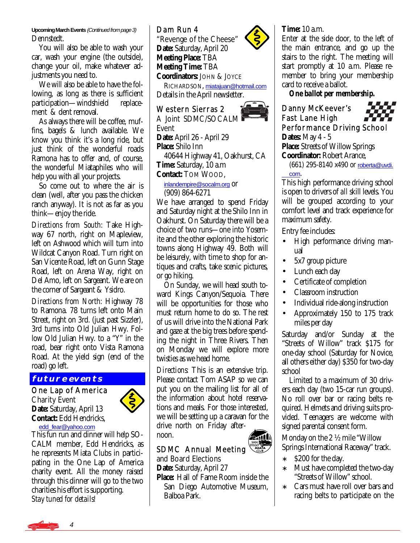**Upcoming March Events** (Continued from page 3) Dennstedt.

 You will also be able to wash your car, wash your engine (the outside), change your oil, make whatever adjustments you need to.

 We will also be able to have the following, as long as there is sufficient<br>participation—windshield replaceparticipation—windshield ment & dent removal.

 As always there will be coffee, muffins, bagels & lunch available. We know you think it's a long ride, but just think of the wonderful roads Ramona has to offer and, of course, the wonderful Miataphiles who will help you with all your projects.

 So come out to where the air is clean (well, after you pass the chicken ranch anyway). It is not as far as you think—enjoy the ride.

*Directions from South:* Take Highway 67 north, right on Mapleview, left on Ashwood which will turn into Wildcat Canyon Road. Turn right on San Vicente Road, left on Gunn Stage Road, left on Arena Way, right on Del Amo, left on Sargeant. We are on the corner of Sargeant & Ysidro.

*Directions from North:* Highway 78 to Ramona. 78 turns left onto Main Street, right on 3rd. (just past Sizzler), 3rd turns into Old Julian Hwy. Follow Old Julian Hwy. to a "Y" in the road, bear right onto Vista Ramona Road. At the yield sign (end of the road) go left.

#### **future events**

One Lap of America Charity Event **Date:** Saturday, April 13 **Contact:** Edd Hendricks, [edd\\_fear@yahoo.com](mailto:edd_fear@yahoo.com)



This fun run and dinner will help SO-CALM member, Edd Hendricks, as he represents Miata Clubs in participating in the One Lap of America charity event. All the money raised through this dinner will go to the two charities his effort is supporting. *Stay tuned for details!* 

## Dam Run 4

"Revenge of the Cheese" **Date:** Saturday, April 20 **Meeting Place:** TBA **Meeting Time:** TBA **Coordinators:** JOHN & JOYCE

 RICHARDSON, [miatajuan@hotmail.com](mailto:miatajuan@hotmail.com) Details in the April newsletter. Î

## Western Sierras 2

A Joint SDMC/SOCALM Event **Date:** April 26 - April 29 **Place:** Shilo Inn 40644 Highway 41, Oakhurst, CA **Time:** Saturday, 10 a.m **Contact:** TOM WOOD,

#### [inlandempire@socalm.org](mailto:inlandempire@socalm.org) or (909) 864-6271

We have arranged to spend Friday and Saturday night at the Shilo Inn in Oakhurst. On Saturday there will be a choice of two runs—one into Yosemite and the other exploring the historic towns along Highway 49. Both will be leisurely, with time to shop for antiques and crafts, take scenic pictures, or go hiking.

 On Sunday, we will head south toward Kings Canyon/Sequoia. There will be opportunities for those who must return home to do so. The rest of us will drive into the National Park and gaze at the big trees before spending the night in Three Rivers. Then on Monday we will explore more twisties as we head home.

*Directions:* This is an extensive trip. Please contact Tom ASAP so we can put you on the mailing list for all of the information about hotel reservations and meals. For those interested, we will be setting up a caravan for the drive north on Friday afternoon.

#### Î SDMC Annual Meeting

and Board Elections **Date:** Saturday, April 27

**Place:** Hall of Fame Room inside the San Diego Automotive Museum, Balboa Park.

## **Time:** 10 a.m.

Enter at the side door, to the left of the main entrance, and go up the stairs to the right. The meeting will start promptly at 10 a.m. Please remember to bring your membership card to receive a ballot.

*One ballot per membership.*

## Danny McKeever's Fast Lane High Performance Driving School

**Dates:** May 4 - 5 **Place:** Streets of Willow Springs **Coordinator:** Robert Arance,

 (661) 295-8140 x490 or [roberta@uvdi.](mailto:roberta@uvdi.com) [com](mailto:roberta@uvdi.com).

This high performance driving school is open to drivers of *all* skill levels. You will be grouped according to your comfort level and track experience for maximum safety.

Entry fee includes:

- High performance driving manual
- 5x7 group picture
- Lunch each day
- Certificate of completion
- Classroom instruction
- Individual ride-along instruction
- Approximately 150 to 175 track miles per day

Saturday and/or Sunday at the "Streets of Willow" track \$175 for one-day school (Saturday for Novice, all others either day) \$350 for two-day school

 Limited to a maximum of 30 drivers each day (two 15-car run groups). No roll over bar or racing belts required. Helmets and driving suits provided. Teenagers are welcome with signed parental consent form.

Monday on the 2 ½ mile "Willow Springs International Raceway" track.

- ∗ \$200 for the day.
- ∗ Must have completed the two-day "Streets of Willow" school.
- ∗ Cars must have roll over bars and racing belts to participate on the



4



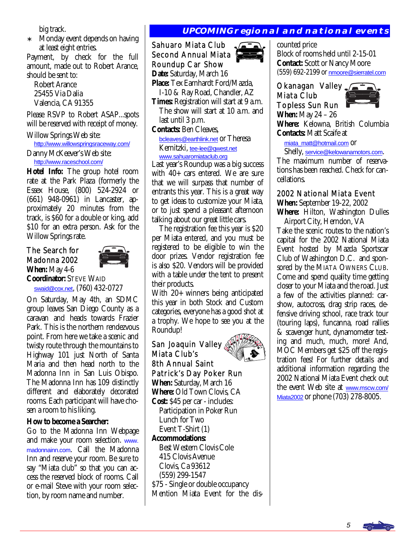big track.

∗ Monday event depends on having at least eight entries.

Payment, by check for the full amount, made out to Robert Arance, should be sent to:

 Robert Arance 25455 Via Dalia Valencia, CA 91355

Please RSVP to Robert ASAP...spots will be reserved with receipt of money.

Willow Springs Web site: <http://www.willowspringsraceway.com/> Danny McKeever's Web site: [http://www.raceschool.com/](http://www.raceschool.com)

**Hotel Info:** The group hotel room rate at the Park Plaza (formerly the Essex House, (800) 524-2924 or (661) 948-0961) in Lancaster, approximately 20 minutes from the track, is \$60 for a double or king, add \$10 for an extra person. Ask for the Willow Springs rate.

#### The Search for Madonna 2002 **When:** May 4-6



**Coordinator:** STEVE WAID [swaid@cox.net](mailto:swaid@cox.net), (760) 432-0727

On Saturday, May 4th, an SDMC group leaves San Diego County as a caravan and heads towards Frazier Park. This is the northern rendezvous point. From here we take a scenic and twisty route through the mountains to Highway 101 just North of Santa Maria and then head north to the Madonna Inn in San Luis Obispo. The Madonna Inn has 109 distinctly different and elaborately decorated rooms. Each participant will have chosen a room to his liking.

#### **How to become a Searcher:**

Go to the Madonna Inn Webpage and make your room selection. [www.](http://www.madonnainn.com) [madonnainn.com](http://www.madonnainn.com). Call the Madonna Inn and reserve your room. Be sure to say "Miata club" so that you can access the reserved block of rooms. Call or e-mail Steve with your room selection, by room name and number.

## **UPCOMING regional and national events**

Sahuaro Miata Club Second Annual Miata Roundup Car Show **Date:** Saturday, March 16 **Place:** Tex Earnhardt Ford/Mazda, I-10 & Ray Road, Chandler, AZ **Times:** Registration will start at 9 a.m. The show will start at 10 a.m. and last until 3 p.m. **Contacts:** Ben Cleaves,

 [bcleaves@earthlink.net](mailto:bcleaves@earthlink.net) or Theresa Kernitzki, [tee-lee@qwest.net](mailto:tee-lee@qwest.net) [www.sahuaromiataclub.org](http://www.sahuaromiataclub.org)

Last year's Roundup was a big success with 40+ cars entered. We are sure that we will surpass that number of entrants this year. This is a great way to get ideas to customize your Miata, or to just spend a pleasant afternoon talking about our great little cars.

 The registration fee this year is \$20 per Miata entered, and you must be registered to be eligible to win the door prizes. Vendor registration fee is also \$20. Vendors will be provided with a table under the tent to present their products.

With 20+ winners being anticipated this year in both Stock and Custom categories, everyone has a good shot at a trophy. We hope to see you at the Roundup!

San Joaquin Valley Miata Club's 8th Annual Saint Patrick's Day Poker Run **When:** Saturday, March 16 **Where:** Old Town Clovis, CA **Cost:** \$45 per car - includes: Participation in Poker Run Lunch for Two Event T-Shirt (1) **Accommodations:**  Best Western Clovis Cole 415 Clovis Avenue Clovis, Ca 93612 (559) 299-1547 \$75 - Single or double occupancy Mention Miata Event for the dis-



counted price Block of rooms held until 2-15-01 **Contact:** Scott or Nancy Moore (559) 692-2199 or [nmoore@sierratel.com](mailto:nmoore@sierratel.com)

### Okanagan Valley <sub>7</sub> Miata Club Topless Sun Run **When:** May 24 – 26



**Where:** Kelowna, British Columbia **Contacts:** Matt Scaife at

[miata\\_matt@hotmail.com](mailto:miata_matt@hotmail.com) Or

Shelly, [service@kelowanamotors.com](mailto:service@kelowanamotors.com). The maximum number of reservations has been reached. Check for cancellations.

#### 2002 National Miata Event

**When:** September 19-22, 2002

**Where:** Hilton, Washington Dulles Airport City, Herndon, VA

Take the scenic routes to the nation's capital for the 2002 National Miata Event hosted by Mazda Sportscar Club of Washington D.C. and sponsored by the MIATA OWNERS CLUB. Come and spend quality time getting closer to your Miata and the road. Just a few of the activities planned: carshow, autocross, drag strip races, defensive driving school, race track tour (touring laps), funcanna, road rallies & scavenger hunt, dynamometer testing and much, much, more! And, MOC Members get \$25 off the registration fees! For further details and additional information regarding the 2002 National Miata Event check out the event Web site at [www.mscw.com/](http://www.mscw.com/Miata2002) [Miata2002](http://www.mscw.com/Miata2002) or phone (703) 278-8005.

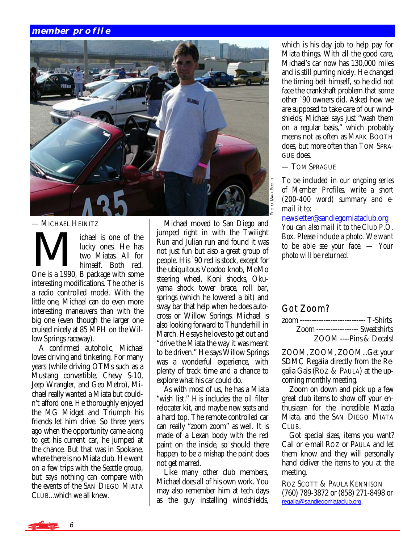#### **member profile**



— MICHAEL HEINITZ

— MICHAEL HEINITZ<br>
lichael is one of the<br>
lucky ones. He has<br>
two Miatas. All for<br>
himself Both red lucky ones. He has two Miatas. All for himself. Both red. One is a 1990, B package with some interesting modifications. The other is a radio controlled model. With the little one, Michael can do even more interesting maneuvers than with the big one (even though the larger one cruised nicely at 85 MPH on the Willow Springs raceway).

 A confirmed autoholic, Michael loves driving and tinkering. For many years (while driving OTMs such as a Mustang convertible, Chevy S-10, Jeep Wrangler, and Geo Metro), Michael really wanted a Miata but couldn't afford one. He thoroughly enjoyed the MG Midget and Triumph his friends let him drive. So three years ago when the opportunity came along to get his current car, he jumped at the chance. But that was in Spokane, where there is no Miata club. He went on a few trips with the Seattle group, but says nothing can compare with the events of the SAN DIEGO MIATA CLUB...which we all knew.

 Michael moved to San Diego and jumped right in with the Twilight Run and Julian run and found it was not just fun but also a great group of people. His `90 red is stock, except for the ubiquitous Voodoo knob, MoMo steering wheel, Koni shocks, Okuyama shock tower brace, roll bar, springs (which he lowered a bit) and sway bar that help when he does autocross or Willow Springs. Michael is also looking forward to Thunderhill in March. He says he loves to get out and "drive the Miata the way it was meant to be driven." He says Willow Springs was a wonderful experience, with plenty of track time and a chance to explore what his car could do.

 As with most of us, he has a Miata "wish list." His includes the oil filter relocater kit, and maybe new seats and a hard top. The remote controlled car can really "zoom zoom" as well. It is made of a Lexan body with the red paint on the inside, so should there happen to be a mishap the paint does not get marred.

 Like many other club members, Michael does all of his own work. You may also remember him at tech days as the guy installing windshields, which is his day job to help pay for Miata things. With all the good care, Michael's car now has 130,000 miles and is still purring nicely. He changed the timing belt himself, so he did not face the crankshaft problem that some other `90 owners did. Asked how we are supposed to take care of our windshields, Michael says just "wash them on a regular basis," which probably means not as often as MARK BOOTH does, but more often than TOM SPRA-GUE does.

— TOM SPRAGUE

*To be included in our ongoing series of Member Profiles, write a short (200-400 word) summary and email it to:* 

[newsletter@sandiegomiataclub.org](mailto:newsletter@sandiegomiataclub.org) *You can also mail it to the Club P.O. Box. Please include a photo. We want to be able see your face. — Your photo will be returned.*

## Got Zoom?

| zoom ---------------------------- T-Shirts |  |
|--------------------------------------------|--|
| <b>Zoom</b> ------------------ Sweatshirts |  |
| ZOOM ----Pins & Decals!                    |  |

ZOOM, ZOOM, ZOOM...Get your SDMC Regalia directly from the Regalia Gals (ROZ & PAULA) at the upcoming monthly meeting.

 Zoom on down and pick up a few great club items to show off your enthusiasm for the incredible Mazda Miata, and the SAN DIEGO MIATA CLUB.

 Got special sizes, items you want? Call or e-mail ROZ or PAULA and let them know and they will personally hand deliver the items to you at the meeting.

ROZ SCOTT & PAULA KENNISON (760) 789-3872 or (858) 271-8498 or [regalia@sandiegomiataclub.org.](mailto:regalia@sandiegomiataclub.org)

6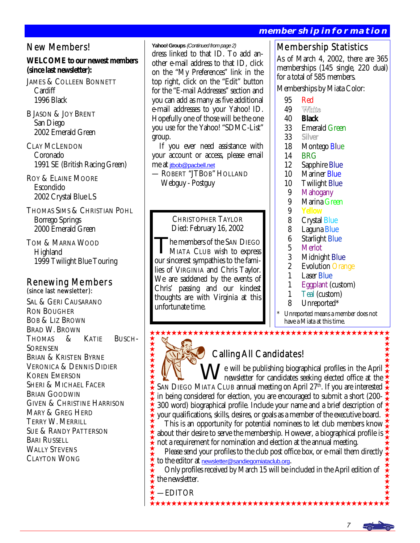## New Members!

#### **WELCOME to our newest members (since last newsletter):**

JAMES & COLLEEN BONNETT **Cardiff** 1996 Black

B JASON & JOY BRENT San Diego 2002 Emerald Green

CLAY MCLENDON Coronado 1991 SE (British Racing Green)

ROY & ELAINE MOORE Escondido 2002 Crystal Blue LS

THOMAS SIMS & CHRISTIAN POHL Borrego Springs 2000 Emerald Green

TOM & MARNA WOOD **Highland** 1999 Twilight Blue Touring

# Renewing Members (since last newsletter):

SAL & GERI CAUSARANO RON BOUGHER BOB & LIZ BROWN BRAD W. BROWN THOMAS & KATIE BUSCH-**SORENSEN** BRIAN & KRISTEN BYRNE VERONICA & DENNIS DIDIER KOREN EMERSON SHERI & MICHAEL FACER BRIAN GOODWIN GIVEN & CHRISTINE HARRISON MARY & GREG HERD TERRY W. MERRILL SUE & RANDY PATTERSON BARI RUSSELL WALLY STEVENS CLAYTON WONG

**Yahoo! Groups** (Continued from page 2) dress linked to that ID. To add another e-mail address to that ID, click on the "My Preferences" link in the top right, click on the "Edit" button for the "E-mail Addresses" section and you can add as many as five additional e-mail addresses to your Yahoo! ID. Hopefully one of those will be the one you use for the Yahoo! "SDMC-List" group.

 If you ever need assistance with your account or access, please email me at [jtbob@pacbell.net](mailto:jtbob@pacbell.net)

— ROBERT "JTBOB" HOLLAND Webguy - Postguy

> CHRISTOPHER TAYLOR Died: February 16, 2002

he members of the SAN DIEGO MIATA CLUB wish to express our sincerest sympathies to the families of VIRGINIA and Chris Taylor. We are saddened by the events of Chris' passing and our kindest thoughts are with Virginia at this unfortunate time.

#### **membership information**

## Membership Statistics

As of March 4, 2002, there are 365 memberships (145 single, 220 dual) for a total of 585 members.

Memberships by Miata Color:

- 
- 95 Red<br>49 White 49<br>40
- 40 **Black**
- 33 Emerald Green<br>33 Silver
- 33 **Silver**
- 18 Montego Blue<br>14 BRG
- **BRG**
- 12 Sapphire Blue
- 10 Mariner Blue
- 10 Twilight Blue<br>9 Mahogany
- 9 Mahogany<br>9 Marina Gre
- 9 Marina Green<br>9 Yellow
- 9 **Yellow**
- 8 Crystal Blue<br>8 Laguna Blue
- 
- 8 Laguna Blue<br>6 Starlight Blue 6 Starlight Blue
- 
- 5 Merlot<br>3 Midnig
- 3 Midnight Blue<br>2 Evolution Oran 2 Evolution Orange<br>1 Laser Blue
- 1 Laser Blue<br>1 Foonlant (
- 1 Eggplant (custom)<br>1 Teal (custom)
- 1 Teal (custom)<br>8 Unreported\*
- Unreported\*

**★★★★★★★★★★★★★★★★★★★★★★★★★★★**★★★

Unreported means a member does not have a Miata at this time.

## Calling All Candidates!

 $\sqrt{\frac{1}{2}}$  e will be publishing biographical profiles in the April newsletter for candidates seeking elected office at the SAN DIEGO MIATA CLUB annual meeting on April 27<sup>th</sup>. If you are interested in being considered for election, you are encouraged to submit a short (200- 300 word) biographical profile. Include your name and a brief description of  $\frac{1}{2}$ your qualifications, skills, desires, or goals as a member of the executive board.

 This is an opportunity for potential nominees to let club members know about their desire to serve the membership. However, a biographical profile is  $\frac{1}{2}$ not a requirement for nomination and election at the annual meeting.

 Please send your profiles to the club post office box, or e-mail them directly to the editor at [newsletter@sandiegomiataclub.org](mailto:newsletter@sandiegomiataclub.org).

 Only profiles received by March 15 will be included in the April edition of the newsletter.

—EDITOR

\*\*\*\*\*\*\*\*\*\*\*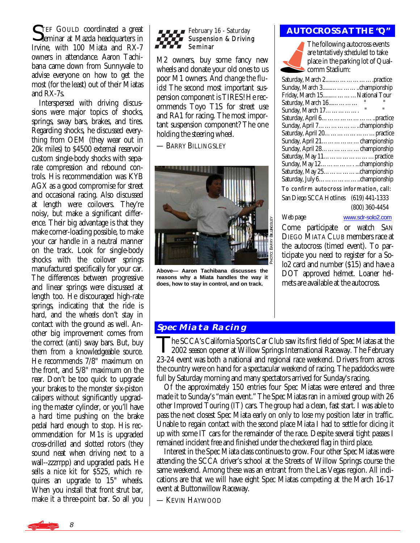TEF GOULD coordinated a great Seminar at Mazda headquarters in Irvine, with 100 Miata and RX-7 owners in attendance. Aaron Tachibana came down from Sunnyvale to advise everyone on how to get the most (for the least) out of their Miatas and RX-7s.

 Interspersed with driving discussions were major topics of shocks, springs, sway bars, brakes, and tires. Regarding shocks, he discussed everything from OEM (they wear out in 20k miles) to \$4500 external reservoir custom single-body shocks with separate compression and rebound controls. His recommendation was KYB AGX as a good compromise for street and occasional racing. Also discussed at length were coilovers. They're noisy, but make a significant difference. Their big advantage is that they make corner-loading possible, to make your car handle in a neutral manner on the track. Look for single-body shocks with the coilover springs manufactured specifically for your car. The differences between progressive and linear springs were discussed at length too. He discouraged high-rate springs, indicating that the ride is hard, and the wheels don't stay in contact with the ground as well. Another big improvement comes from the correct (anti) sway bars. But, buy them from a knowledgeable source. He recommends 7/8" maximum on the front, and 5/8" maximum on the rear. Don't be too quick to upgrade your brakes to the monster six-piston calipers without significantly upgrading the master cylinder, or you'll have a hard time pushing on the brake pedal hard enough to stop. His recommendation for M1s is upgraded cross-drilled and slotted rotors (they sound neat when driving next to a wall--zzzrrpp) and upgraded pads. He sells a nice kit for \$525, which requires an upgrade to 15" wheels. When you install that front strut bar, make it a three-point bar. So all you



M2 owners, buy some fancy new wheels and donate your old ones to us poor M1 owners. And *change the fluids*! The second most important suspension component is TIRES! He recommends Toyo T1S for street use and RA1 for racing. The most important suspension component? The one holding the steering wheel.

— BARRY BILLINGSLEY



**Above— Aaron Tachibana discusses the reasons why a Miata handles the way it does, how to stay in control, and on track.** 

#### February 16 - Saturday **AUTOCROSS AT THE "Q"**

The following autocross events are *tentatively scheduled* to take place in the parking lot of Qualcomm Stadium:

| Friday, March 15National Tour           |              |                |  |
|-----------------------------------------|--------------|----------------|--|
| Saturday, March 16                      | п            |                |  |
| Sunday, March 17.                       | $\mathbf{u}$ | $\blacksquare$ |  |
|                                         |              |                |  |
|                                         |              |                |  |
|                                         |              |                |  |
| Sunday, April 21. championship          |              |                |  |
| Sunday, April 28. championship          |              |                |  |
|                                         |              |                |  |
|                                         |              |                |  |
|                                         |              |                |  |
|                                         |              |                |  |
| To confirm autocross information, call: |              |                |  |

San Diego SCCA Hotlines (619) 441-1333 (800) 360-4454

Web page [www.sdr-solo2.com](http://www.sdr-solo2.com) Come participate or watch SAN DIEGO MIATA CLUB members race at the autocross (timed event). To participate you need to register for a Solo2 card and number (\$15) and have a DOT approved helmet. Loaner helmets are available at the autocross.

## **Spec Miata Racing**

The SCCA's California Sports Car Club saw its first field of Spec Miatas at the 2002 season opener at Willow Springs International Raceway. The February 23-24 event was both a national and regional race weekend. Drivers from across the country were on hand for a spectacular weekend of racing. The paddocks were full by Saturday morning and many spectators arrived for Sunday's racing.

 Of the approximately 150 entries four Spec Miatas were entered and three made it to Sunday's "main event." The Spec Miatas ran in a mixed group with 26 other Improved Touring (IT) cars. The group had a clean, fast start. I was able to pass the next closest Spec Miata early on only to lose my position later in traffic. Unable to regain contact with the second place Miata I had to settle for dicing it up with some IT cars for the remainder of the race. Despite several tight passes I remained incident free and finished under the checkered flag in third place.

 Interest in the Spec Miata class continues to grow. Four other Spec Miatas were attending the SCCA driver's school at the Streets of Willow Springs course the same weekend. Among these was an entrant from the Las Vegas region. All indications are that we will have eight Spec Miatas competing at the March 16-17 event at Buttonwillow Raceway.

— KEVIN HAYWOOD

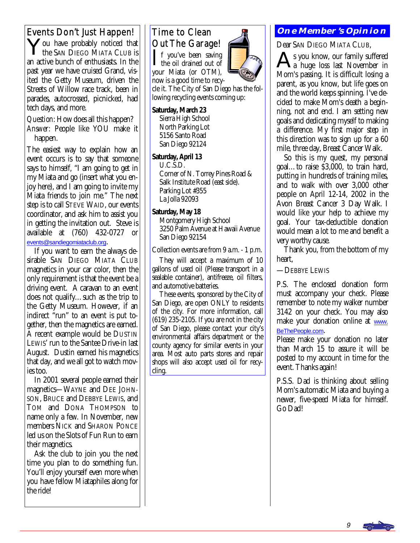You have probably noticed that the SAN DIEGO MIATA CLUB is an active bunch of enthusiasts. In the past year we have cruised Grand, visited the Getty Museum, driven the Streets of Willow race track, been in parades, autocrossed, picnicked, had tech days, and more.

*Question:* How does all this happen? *Answer:* People like YOU make it happen.

The easiest way to explain how an event occurs is to say that someone says to himself, "I am going to get in my Miata and go (insert what you enjoy here), and I am going to invite my Miata friends to join me." The next step is to call STEVE WAID, our events coordinator, and ask him to assist you in getting the invitation out. Steve is available at (760) 432-0727 or [events@sandiegomiataclub.org](mailto:events@sandiegomiataclub.org).

 If you want to earn the always desirable SAN DIEGO MIATA CLUB magnetics in your car color, then the only requirement is that the event be a driving event. A caravan to an event does not qualify…such as the trip to the Getty Museum. However, if an indirect "run" to an event is put together, then the magnetics are earned. A recent example would be DUSTIN LEWIS' run to the Santee Drive-in last August. Dustin earned his magnetics that day, and we all got to watch movies too.

 In 2001 several people earned their magnetics—WAYNE and DEE JOHN-SON, BRUCE and DEBBYE LEWIS, and TOM and DONA THOMPSON to name only a few. In November, new members NICK and SHARON PONCE led us on the Slots of Fun Run to earn their magnetics.

 Ask the club to join you the next time you plan to do something fun. You'll enjoy yourself even more when you have fellow Miataphiles along for the ride!

## Time to Clean Out The Garage!

 $\prod$  f you've been saving<br>the oil drained out of your Miata (or OTM), now is a good time to recy-

cle it. The City of San Diego has the following recycling events coming up:

**Saturday, March 23** Sierra High School North Parking Lot 5156 Santo Road San Diego 92124

#### **Saturday, April 13**

 U.C.S.D. Corner of N. Torrey Pines Road & Salk Institute Road (east side). Parking Lot #355 La Jolla 92093

#### **Saturday, May 18**

 Montgomery High School 3250 Palm Avenue at Hawaii Avenue San Diego 92154

Collection events are from 9 a.m. - 1 p.m.

 They will accept a maximum of 10 gallons of used oil (Please transport in a sealable container), antifreeze, oil filters, and automotive batteries.

 These events, sponsored by the City of San Diego, are open ONLY to residents of the city. For more information, call (619) 235-2105. If you are not in the city of San Diego, please contact your city's environmental affairs department or the county agency for similar events in your area. Most auto parts stores and repair shops will also accept used oil for recycling.

## Events Don't Just Happen! | Time to Clean Fight | **ONE MEMBER'S OPINION**

Dear SAN DIEGO MIATA CLUB,

s you know, our family suffered a huge loss last November in Mom's passing. It is difficult losing a parent, as you know, but life goes on and the world keeps spinning. I've decided to make Mom's death a beginning, not and end. I am setting new goals and dedicating myself to making a difference. My first major step in this direction was to sign up for a 60 mile, three day, Breast Cancer Walk.

 So this is my quest, my personal goal…to raise \$3,000, to train hard, putting in hundreds of training miles, and to walk with over 3,000 other people on April 12-14, 2002 in the Avon Breast Cancer 3 Day Walk. I would like your help to achieve my goal. Your tax-deductible donation would mean a lot to me and benefit a very worthy cause.

 Thank you, from the bottom of my heart,

—DEBBYE LEWIS

P.S. The enclosed donation form must accompany your check. Please remember to note my walker number 3142 on your check. You may also make your donation online at [www.](http://www.BeThePeople.com) [BeThePeople.com](http://www.BeThePeople.com).

Please make your donation no later than March 15 to assure it will be posted to my account in time for the event. Thanks again!

P.S.S. Dad is thinking about selling Mom's automatic Miata and buying a newer, five-speed Miata for himself. Go Dad!

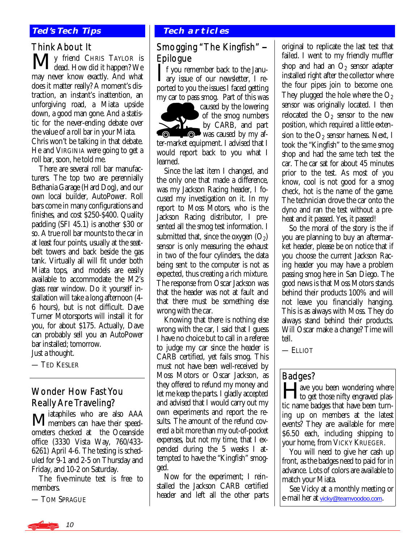#### **Ted's Tech Tips**

#### Think About It

**My** friend CHRIS TAYLOR is<br> **M** dead. How did it happen? We may never know exactly. And what does it matter really? A moment's distraction, an instant's inattention, an unforgiving road, a Miata upside down, a good man gone. And a statistic for the never-ending debate over the value of a roll bar in your Miata. Chris won't be talking in that debate. He and VIRGINIA were going to get a roll bar, soon, he told me.

 There are several roll bar manufacturers. The top two are perennially Bethania Garage (Hard Dog), and our own local builder, AutoPower. Roll bars come in many configurations and finishes, and cost \$250-\$400. Quality padding (SFI 45.1) is another \$30 or so. A true roll bar mounts to the car in at least four points, usually at the seatbelt towers and back beside the gas tank. Virtually all will fit under both Miata tops, and models are easily available to accommodate the M2's glass rear window. Do it yourself installation will take a long afternoon (4- 6 hours), but is not difficult. Dave Turner Motorsports will install it for you, for about \$175. Actually, Dave can probably sell you an AutoPower bar installed; tomorrow.

Just a thought.

— TED KESLER

## Wonder How Fast You Really Are Traveling?

Miataphiles who are also AAA members can have their speedometers checked at the Oceanside office (3330 Vista Way, 760/433- 6261) April 4-6. The testing is scheduled for 9-1 and 2-5 on Thursday and Friday, and 10-2 on Saturday.

 The five-minute test is free to members.

— TOM SPRAGUE

#### **Tech articles**

## Smogging "The Kingfish" Epilogue

I f you remember back to the Janu- $\blacksquare$  ary issue of our newsletter, I reported to you the issues I faced getting my car to pass smog. Part of this was

caused by the lowering of the smog numbers 41 by CARB, and part **O** was caused by my after-market equipment. I advised that I would report back to you what I learned.

 Since the last item I changed, and the only one that made a difference, was my Jackson Racing header, I focused my investigation on it. In my report to Moss Motors, who is the Jackson Racing distributor, I presented all the smog test information. I submitted that, since the oxygen  $(O_2)$ sensor is only measuring the exhaust in two of the four cylinders, the data being sent to the computer is not as expected, thus creating a rich mixture. The response from Oscar Jackson was that the header was not at fault and that there must be something else wrong with the car.

 Knowing that there is nothing else wrong with the car, I said that I guess I have no choice but to call in a referee to judge my car since the header is CARB certified, yet fails smog. This must not have been well-received by Moss Motors or Oscar Jackson, as they offered to refund my money and let me keep the parts. I gladly accepted and advised that I would carry out my own experiments and report the results. The amount of the refund covered a bit more than my out-of-pocket expenses, but not my time, that I expended during the 5 weeks I attempted to have the "Kingfish" smogged.

 Now for the experiment; I reinstalled the Jackson CARB certified header and left all the other parts

original to replicate the last test that failed. I went to my friendly muffler shop and had an  $O_2$  sensor adapter installed right after the collector where the four pipes join to become one. They plugged the hole where the  $O_2$ sensor was originally located. I then relocated the  $O<sub>2</sub>$  sensor to the new position, which required a little extension to the  $O_2$  sensor harness. Next, I took the "Kingfish" to the *same* smog shop and had the *same* tech test the car. The car sat for about 45 minutes prior to the test. As most of you know, cool is not good for a smog check, hot is the name of the game. The technician drove the car onto the dyno and ran the test without a preheat and it passed. Yes, it passed!

 So the moral of the story is the if you are planning to buy an aftermarket header, please be on notice that if you choose the current Jackson Racing header you may have a problem passing smog here in San Diego. The *good* news is that Moss Motors stands behind their products 100% and will not leave you financially hanging. This is as always with Moss. They do always stand behind their products. Will Oscar make a change? Time will tell.

— ELLIOT

## Badges?

**Allectrical Exercise is very conservant on the state of the state of the state of the state of the state of the state of the state of the state of the state of the state of the state of the state of the state of the state** to get those nifty engraved plastic name badges that have been turning up on members at the latest events? They are available for mere \$6.50 each, including shipping to your home, from VICKY KRUEGER.

 You will need to give her cash up front, as the badges need to paid for in advance. Lots of colors are available to match your Miata.

 See Vicky at a monthly meeting or e-mail her at [vicky@teamvoodoo.com](mailto:vicky@teamvoodoo.com).